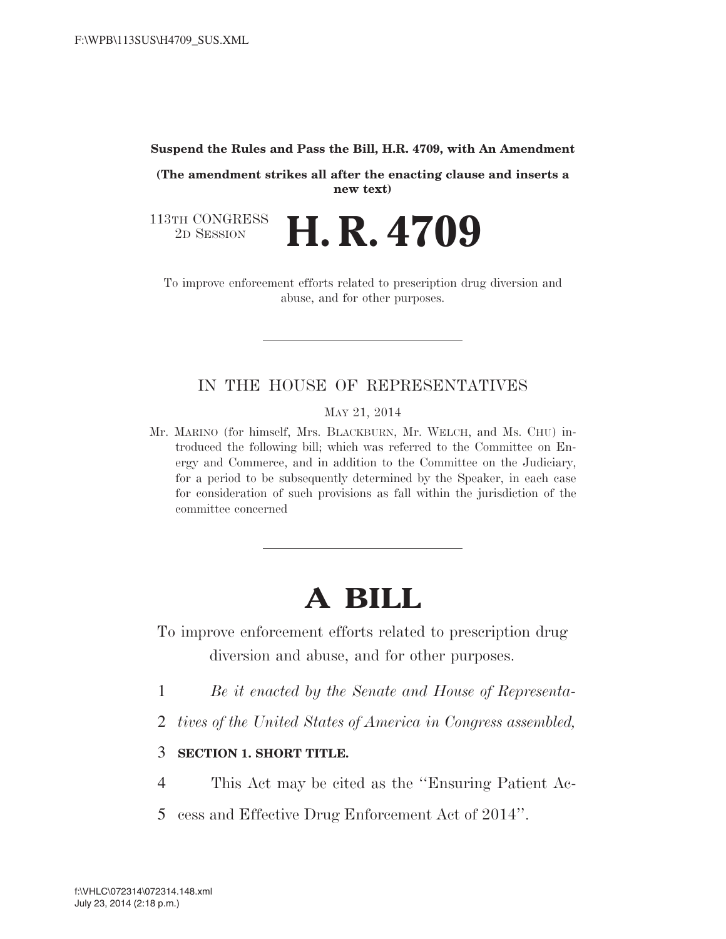## **Suspend the Rules and Pass the Bill, H.R. 4709, with An Amendment**

**(The amendment strikes all after the enacting clause and inserts a new text)** 

113TH CONGRESS<br>2D SESSION <sup>2</sup><sup>D</sup> <sup>S</sup>ESSION **H. R. 4709** 

To improve enforcement efforts related to prescription drug diversion and abuse, and for other purposes.

## IN THE HOUSE OF REPRESENTATIVES

MAY 21, 2014

Mr. MARINO (for himself, Mrs. BLACKBURN, Mr. WELCH, and Ms. CHU) introduced the following bill; which was referred to the Committee on Energy and Commerce, and in addition to the Committee on the Judiciary, for a period to be subsequently determined by the Speaker, in each case for consideration of such provisions as fall within the jurisdiction of the committee concerned

## **A BILL**

To improve enforcement efforts related to prescription drug diversion and abuse, and for other purposes.

- 1 *Be it enacted by the Senate and House of Representa-*
- 2 *tives of the United States of America in Congress assembled,*
- 3 **SECTION 1. SHORT TITLE.**
- 4 This Act may be cited as the ''Ensuring Patient Ac-
- 5 cess and Effective Drug Enforcement Act of 2014''.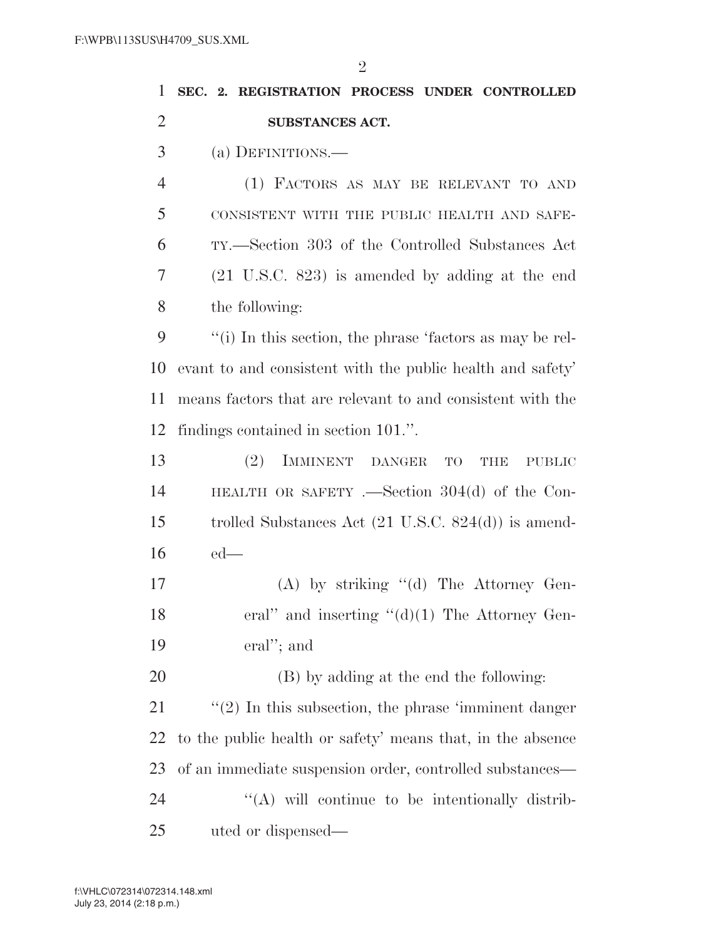| 1              | SEC. 2. REGISTRATION PROCESS UNDER CONTROLLED                      |
|----------------|--------------------------------------------------------------------|
| $\overline{2}$ | SUBSTANCES ACT.                                                    |
| 3              | (a) DEFINITIONS.—                                                  |
| $\overline{4}$ | (1) FACTORS AS MAY BE RELEVANT TO AND                              |
| 5              | CONSISTENT WITH THE PUBLIC HEALTH AND SAFE-                        |
| 6              | TY.—Section 303 of the Controlled Substances Act                   |
| 7              | $(21 \t{U.S.C. } 823)$ is amended by adding at the end             |
| 8              | the following:                                                     |
| 9              | "(i) In this section, the phrase 'factors as may be rel-           |
| 10             | evant to and consistent with the public health and safety'         |
| 11             | means factors that are relevant to and consistent with the         |
| 12             | findings contained in section 101.".                               |
| 13             | IMMINENT DANGER<br>(2)<br><b>TO</b><br><b>THE</b><br><b>PUBLIC</b> |
| 14             | HEALTH OR SAFETY .—Section $304(d)$ of the Con-                    |
| 15             | trolled Substances Act $(21 \text{ U.S.C. } 824(d))$ is amend-     |
| 16             | $ed$ —                                                             |
| 17             | $(A)$ by striking " $(d)$ The Attorney Gen-                        |
| 18             | eral" and inserting " $(d)(1)$ The Attorney Gen-                   |
| 19             | eral"; and                                                         |
| 20             | (B) by adding at the end the following:                            |
| 21             | $\lq(2)$ In this subsection, the phrase 'imminent danger'          |
| 22             | to the public health or safety' means that, in the absence         |
| 23             | of an immediate suspension order, controlled substances—           |
| 24             | "(A) will continue to be intentionally distrib-                    |
| 25             | uted or dispensed—                                                 |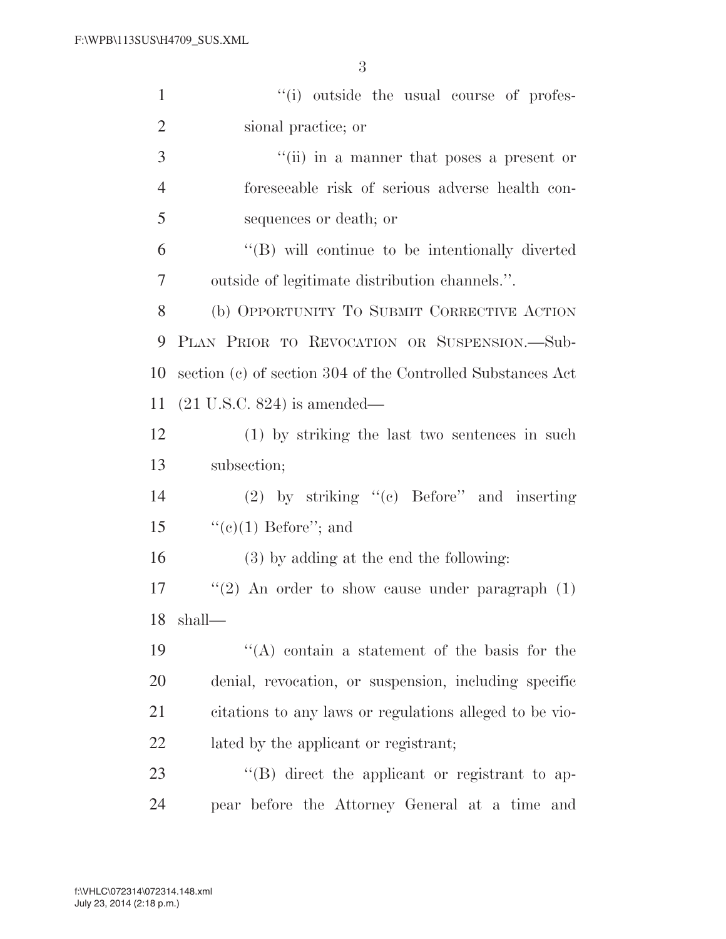| $\mathbf{1}$   | "(i) outside the usual course of profes-                    |
|----------------|-------------------------------------------------------------|
| $\overline{2}$ | sional practice; or                                         |
| 3              | "(ii) in a manner that poses a present or                   |
| $\overline{4}$ | foreseeable risk of serious adverse health con-             |
| 5              | sequences or death; or                                      |
| 6              | "(B) will continue to be intentionally diverted             |
| 7              | outside of legitimate distribution channels.".              |
| 8              | (b) OPPORTUNITY TO SUBMIT CORRECTIVE ACTION                 |
| 9              | PLAN PRIOR TO REVOCATION OR SUSPENSION.-Sub-                |
| 10             | section (c) of section 304 of the Controlled Substances Act |
| 11             | $(21 \text{ U.S.C. } 824)$ is amended—                      |
| 12             | (1) by striking the last two sentences in such              |
| 13             | subsection;                                                 |
| 14             | $(2)$ by striking "(c) Before" and inserting                |
| 15             | " $(e)(1)$ Before"; and                                     |
| 16             | (3) by adding at the end the following:                     |
| 17             | "(2) An order to show cause under paragraph $(1)$           |
| 18             | shall-                                                      |
| 19             | $\lq\lq$ contain a statement of the basis for the           |
| 20             | denial, revocation, or suspension, including specific       |
| 21             | citations to any laws or regulations alleged to be vio-     |
| 22             | lated by the applicant or registrant;                       |
| 23             | $\lq\lq (B)$ direct the applicant or registrant to ap-      |
| 24             | pear before the Attorney General at a time and              |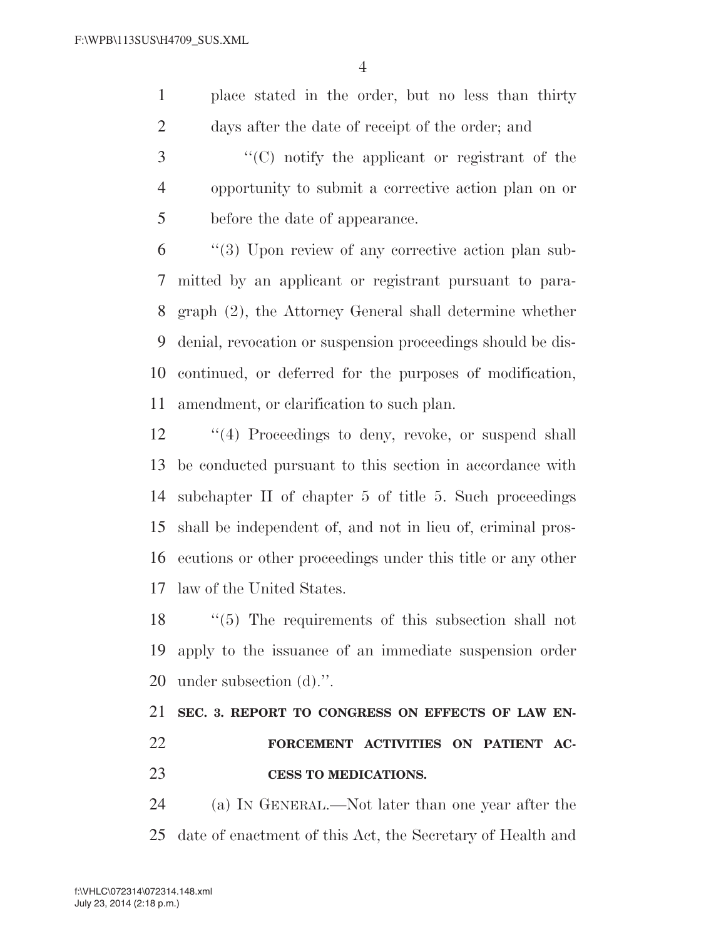place stated in the order, but no less than thirty days after the date of receipt of the order; and

 ''(C) notify the applicant or registrant of the opportunity to submit a corrective action plan on or before the date of appearance.

 ''(3) Upon review of any corrective action plan sub- mitted by an applicant or registrant pursuant to para- graph (2), the Attorney General shall determine whether denial, revocation or suspension proceedings should be dis- continued, or deferred for the purposes of modification, amendment, or clarification to such plan.

12 ''(4) Proceedings to deny, revoke, or suspend shall be conducted pursuant to this section in accordance with subchapter II of chapter 5 of title 5. Such proceedings shall be independent of, and not in lieu of, criminal pros- ecutions or other proceedings under this title or any other law of the United States.

 ''(5) The requirements of this subsection shall not apply to the issuance of an immediate suspension order under subsection (d).''.

## **SEC. 3. REPORT TO CONGRESS ON EFFECTS OF LAW EN- FORCEMENT ACTIVITIES ON PATIENT AC-CESS TO MEDICATIONS.**

 (a) IN GENERAL.—Not later than one year after the date of enactment of this Act, the Secretary of Health and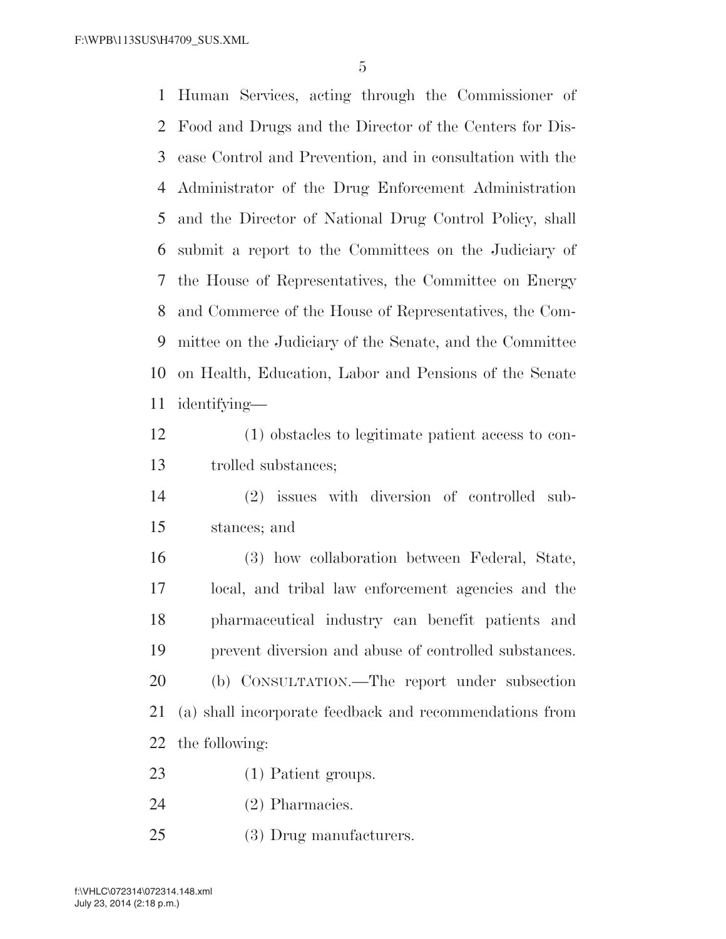Human Services, acting through the Commissioner of Food and Drugs and the Director of the Centers for Dis- ease Control and Prevention, and in consultation with the Administrator of the Drug Enforcement Administration and the Director of National Drug Control Policy, shall submit a report to the Committees on the Judiciary of the House of Representatives, the Committee on Energy and Commerce of the House of Representatives, the Com- mittee on the Judiciary of the Senate, and the Committee on Health, Education, Labor and Pensions of the Senate identifying—

 (1) obstacles to legitimate patient access to con-trolled substances;

 (2) issues with diversion of controlled sub-stances; and

 (3) how collaboration between Federal, State, local, and tribal law enforcement agencies and the pharmaceutical industry can benefit patients and prevent diversion and abuse of controlled substances. (b) CONSULTATION.—The report under subsection (a) shall incorporate feedback and recommendations from the following:

- (1) Patient groups.
- (2) Pharmacies.
- (3) Drug manufacturers.